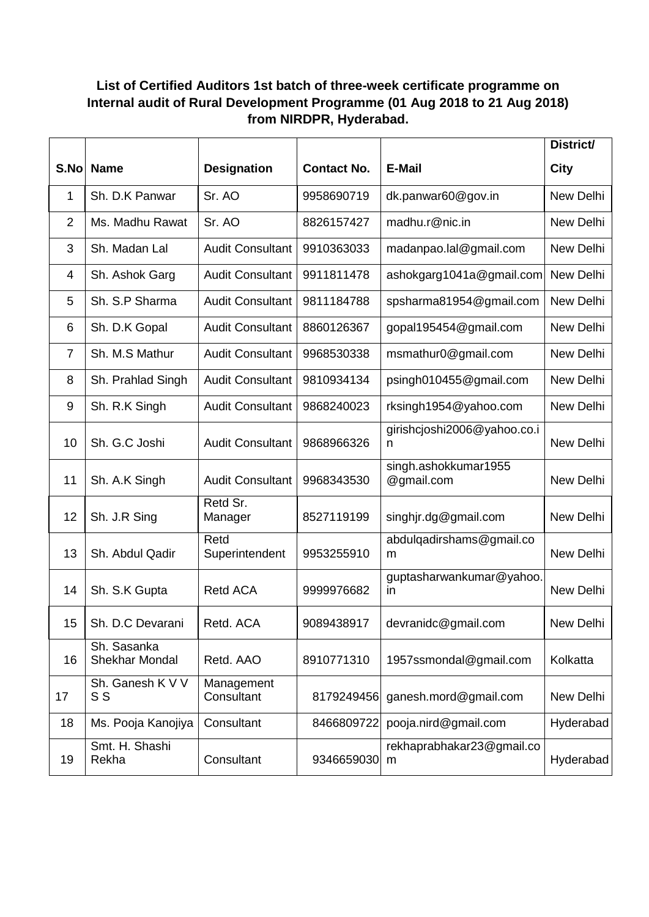# **List of Certified Auditors 1st batch of three-week certificate programme on Internal audit of Rural Development Programme (01 Aug 2018 to 21 Aug 2018) from NIRDPR, Hyderabad.**

|                |                               |                          |                    |                                          | District/ |
|----------------|-------------------------------|--------------------------|--------------------|------------------------------------------|-----------|
| S.No           | <b>Name</b>                   | <b>Designation</b>       | <b>Contact No.</b> | <b>E-Mail</b>                            | City      |
| 1              | Sh. D.K Panwar                | Sr. AO                   | 9958690719         | dk.panwar60@gov.in                       | New Delhi |
| $\overline{2}$ | Ms. Madhu Rawat               | Sr. AO                   | 8826157427         | madhu.r@nic.in                           | New Delhi |
| 3              | Sh. Madan Lal                 | <b>Audit Consultant</b>  | 9910363033         | madanpao.lal@gmail.com                   | New Delhi |
| 4              | Sh. Ashok Garg                | <b>Audit Consultant</b>  | 9911811478         | ashokgarg1041a@gmail.com                 | New Delhi |
| 5              | Sh. S.P Sharma                | <b>Audit Consultant</b>  | 9811184788         | spsharma81954@gmail.com                  | New Delhi |
| 6              | Sh. D.K Gopal                 | <b>Audit Consultant</b>  | 8860126367         | gopal195454@gmail.com                    | New Delhi |
| $\overline{7}$ | Sh. M.S Mathur                | <b>Audit Consultant</b>  | 9968530338         | msmathur0@gmail.com                      | New Delhi |
| 8              | Sh. Prahlad Singh             | <b>Audit Consultant</b>  | 9810934134         | psingh010455@gmail.com                   | New Delhi |
| 9              | Sh. R.K Singh                 | <b>Audit Consultant</b>  | 9868240023         | rksingh1954@yahoo.com                    | New Delhi |
| 10             | Sh. G.C Joshi                 | <b>Audit Consultant</b>  | 9868966326         | girishcjoshi2006@yahoo.co.i<br>n         | New Delhi |
| 11             | Sh. A.K Singh                 | <b>Audit Consultant</b>  | 9968343530         | singh.ashokkumar1955<br>@gmail.com       | New Delhi |
| 12             | Sh. J.R Sing                  | Retd Sr.<br>Manager      | 8527119199         | singhjr.dg@gmail.com                     | New Delhi |
| 13             | Sh. Abdul Qadir               | Retd<br>Superintendent   | 9953255910         | abdulqadirshams@gmail.co<br>m            | New Delhi |
| 14             | Sh. S.K Gupta                 | <b>Retd ACA</b>          | 9999976682         | guptasharwankumar@yahoo.<br>$\mathsf{I}$ | New Delhi |
| 15             | Sh. D.C Devarani              | Retd. ACA                | 9089438917         | devranidc@gmail.com                      | New Delhi |
| 16             | Sh. Sasanka<br>Shekhar Mondal | Retd. AAO                | 8910771310         | 1957ssmondal@gmail.com                   | Kolkatta  |
| 17             | Sh. Ganesh K V V<br>S S       | Management<br>Consultant | 8179249456         | ganesh.mord@gmail.com                    | New Delhi |
| 18             | Ms. Pooja Kanojiya            | Consultant               | 8466809722         | pooja.nird@gmail.com                     | Hyderabad |
| 19             | Smt. H. Shashi<br>Rekha       | Consultant               | 9346659030         | rekhaprabhakar23@gmail.co<br>m           | Hyderabad |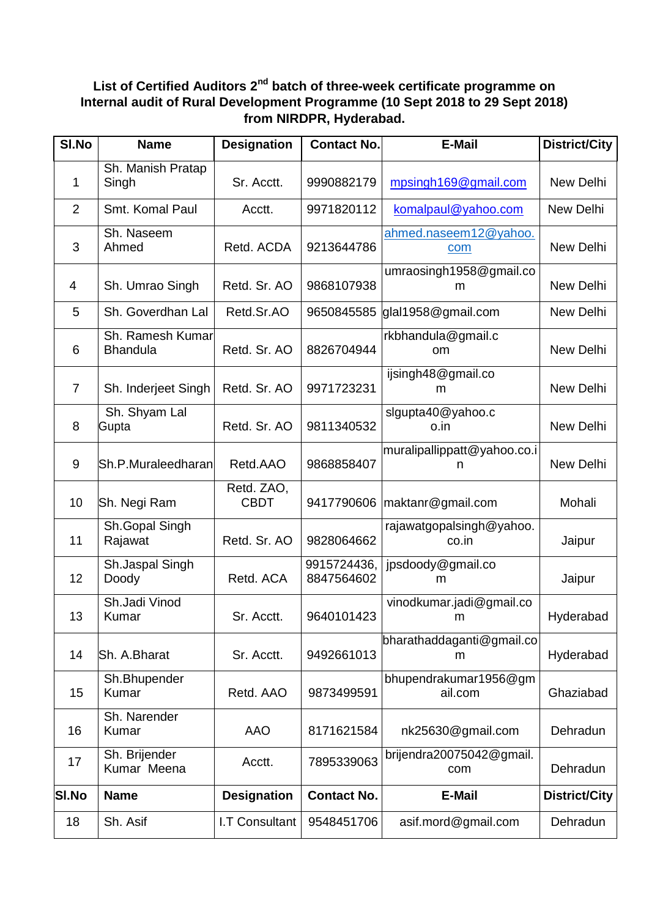## **List of Certified Auditors 2nd batch of three-week certificate programme on Internal audit of Rural Development Programme (10 Sept 2018 to 29 Sept 2018) from NIRDPR, Hyderabad.**

| SI.No          | <b>Name</b>                         | <b>Designation</b>        | <b>Contact No.</b>        | E-Mail                            | <b>District/City</b> |
|----------------|-------------------------------------|---------------------------|---------------------------|-----------------------------------|----------------------|
| 1              | Sh. Manish Pratap<br>Singh          | Sr. Acctt.                | 9990882179                | mpsingh169@gmail.com              | New Delhi            |
| $\overline{2}$ | Smt. Komal Paul                     | Acctt.                    | 9971820112                | komalpaul@yahoo.com               | New Delhi            |
| 3              | Sh. Naseem<br>Ahmed                 | Retd. ACDA                | 9213644786                | ahmed.naseem12@yahoo.<br>com      | New Delhi            |
| 4              | Sh. Umrao Singh                     | Retd. Sr. AO              | 9868107938                | umraosingh1958@gmail.co<br>m      | New Delhi            |
| 5              | Sh. Goverdhan Lal                   | Retd.Sr.AO                | 9650845585                | glal1958@gmail.com                | New Delhi            |
| 6              | Sh. Ramesh Kumar<br><b>Bhandula</b> | Retd. Sr. AO              | 8826704944                | rkbhandula@gmail.c<br>om          | New Delhi            |
| $\overline{7}$ | Sh. Inderjeet Singh                 | Retd. Sr. AO              | 9971723231                | ijsingh48@gmail.co<br>m           | New Delhi            |
| 8              | Sh. Shyam Lal<br>Gupta              | Retd. Sr. AO              | 9811340532                | sigupta40@yahoo.c<br>o.in         | New Delhi            |
| $9\,$          | Sh.P.Muraleedharan                  | Retd.AAO                  | 9868858407                | muralipallippatt@yahoo.co.i<br>n  | New Delhi            |
| 10             | Sh. Negi Ram                        | Retd. ZAO,<br><b>CBDT</b> |                           | 9417790606   maktanr@gmail.com    | Mohali               |
| 11             | Sh.Gopal Singh<br>Rajawat           | Retd. Sr. AO              | 9828064662                | rajawatgopalsingh@yahoo.<br>co.in | Jaipur               |
| 12             | Sh.Jaspal Singh<br>Doody            | Retd. ACA                 | 9915724436,<br>8847564602 | jpsdoody@gmail.co<br>m            | Jaipur               |
| 13             | Sh.Jadi Vinod<br>Kumar              | Sr. Acctt.                | 9640101423                | vinodkumar.jadi@gmail.co<br>m     | Hyderabad            |
| 14             | Sh. A.Bharat                        | Sr. Acctt.                | 9492661013                | bharathaddaganti@gmail.co<br>m    | Hyderabad            |
| 15             | Sh.Bhupender<br>Kumar               | Retd. AAO                 | 9873499591                | bhupendrakumar1956@gm<br>ail.com  | Ghaziabad            |
| 16             | Sh. Narender<br>Kumar               | AAO                       | 8171621584                | nk25630@gmail.com                 | Dehradun             |
| 17             | Sh. Brijender<br>Kumar Meena        | Acctt.                    | 7895339063                | brijendra20075042@gmail.<br>com   | Dehradun             |
| <b>SI.No</b>   | <b>Name</b>                         | <b>Designation</b>        | <b>Contact No.</b>        | <b>E-Mail</b>                     | <b>District/City</b> |
| 18             | Sh. Asif                            | I.T Consultant            | 9548451706                | asif.mord@gmail.com               | Dehradun             |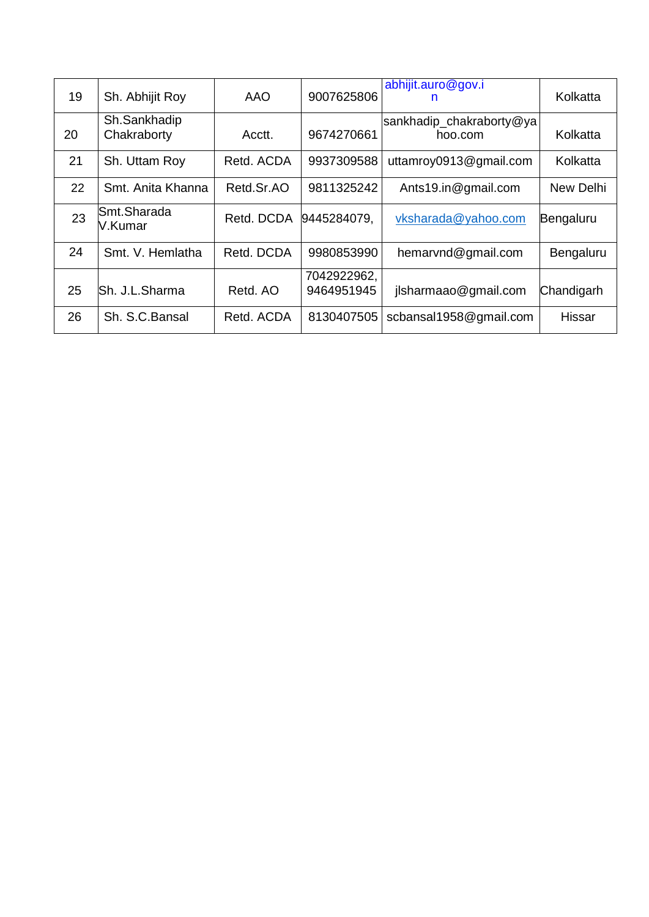| 19 | Sh. Abhijit Roy             | AAO        | 9007625806                | abhijit.auro@gov.i<br>n             | Kolkatta   |
|----|-----------------------------|------------|---------------------------|-------------------------------------|------------|
| 20 | Sh.Sankhadip<br>Chakraborty | Acctt.     | 9674270661                | sankhadip_chakraborty@ya<br>hoo.com | Kolkatta   |
| 21 | Sh. Uttam Roy               | Retd. ACDA | 9937309588                | uttamroy0913@gmail.com              | Kolkatta   |
| 22 | Smt. Anita Khanna           | Retd.Sr.AO | 9811325242                | Ants19.in@gmail.com                 | New Delhi  |
| 23 | Smt.Sharada<br>V.Kumar      | Retd. DCDA | 9445284079,               | vksharada@yahoo.com                 | Bengaluru  |
| 24 | Smt. V. Hemlatha            | Retd. DCDA | 9980853990                | hemarvnd@gmail.com                  | Bengaluru  |
| 25 | Sh. J.L.Sharma              | Retd, AO   | 7042922962,<br>9464951945 | jlsharmaao@gmail.com                | Chandigarh |
| 26 | Sh. S.C.Bansal              | Retd. ACDA | 8130407505                | scbansal1958@gmail.com              | Hissar     |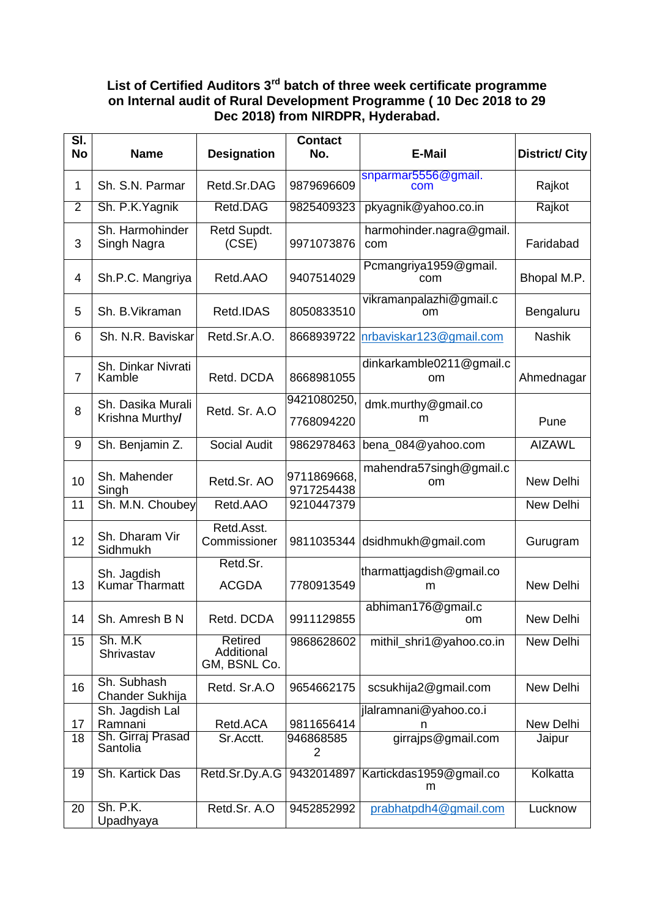### **List of Certified Auditors 3rd batch of three week certificate programme on Internal audit of Rural Development Programme ( 10 Dec 2018 to 29 Dec 2018) from NIRDPR, Hyderabad.**

| SI.<br><b>No</b> | <b>Name</b>                    | <b>Designation</b>                    | <b>Contact</b><br>No.       | <b>E-Mail</b>                           | <b>District/City</b> |
|------------------|--------------------------------|---------------------------------------|-----------------------------|-----------------------------------------|----------------------|
| 1                | Sh. S.N. Parmar                | Retd.Sr.DAG                           | 9879696609                  | snparmar5556@gmail.<br>com              | Rajkot               |
| $\overline{2}$   | Sh. P.K. Yagnik                | Retd.DAG                              | 9825409323                  | pkyagnik@yahoo.co.in                    | Rajkot               |
| 3                | Sh. Harmohinder<br>Singh Nagra | Retd Supdt.<br>(CSE)                  | 9971073876                  | harmohinder.nagra@gmail.<br>com         | Faridabad            |
| 4                | Sh.P.C. Mangriya               | Retd.AAO                              | 9407514029                  | Pcmangriya1959@gmail.<br>com            | Bhopal M.P.          |
| 5                | Sh. B. Vikraman                | Retd.IDAS                             | 8050833510                  | vikramanpalazhi@gmail.c<br>om           | Bengaluru            |
| 6                | Sh. N.R. Baviskar              | Retd.Sr.A.O.                          | 8668939722                  | nrbaviskar123@gmail.com                 | <b>Nashik</b>        |
| $\overline{7}$   | Sh. Dinkar Nivrati<br>Kamble   | Retd. DCDA                            | 8668981055                  | dinkarkamble0211@gmail.c<br>om          | Ahmednagar           |
| 8                | Sh. Dasika Murali              | Retd. Sr. A.O                         | 9421080250,                 | dmk.murthy@gmail.co                     |                      |
|                  | Krishna Murthy/                |                                       | 7768094220                  | m                                       | Pune                 |
| 9                | Sh. Benjamin Z.                | <b>Social Audit</b>                   | 9862978463                  | bena_084@yahoo.com                      | <b>AIZAWL</b>        |
| 10               | Sh. Mahender<br>Singh          | Retd.Sr. AO                           | 9711869668,<br>9717254438   | mahendra57singh@gmail.c<br>om           | New Delhi            |
| 11               | Sh. M.N. Choubey               | Retd.AAO                              | 9210447379                  |                                         | New Delhi            |
| 12               | Sh. Dharam Vir<br>Sidhmukh     | Retd.Asst.<br>Commissioner            | 9811035344                  | dsidhmukh@gmail.com                     | Gurugram             |
| 13               | Sh. Jagdish<br>Kumar Tharmatt  | Retd.Sr.<br><b>ACGDA</b>              | 7780913549                  | tharmattjagdish@gmail.co<br>m           | New Delhi            |
| 14               | Sh. Amresh B N                 | Retd. DCDA                            | 9911129855                  | abhiman176@gmail.c<br>om                | New Delhi            |
| 15               | Sh. M.K<br>Shrivastav          | Retired<br>Additional<br>GM, BSNL Co. | 9868628602                  | mithil shri1@yahoo.co.in                | New Delhi            |
| 16               | Sh. Subhash<br>Chander Sukhija | Retd. Sr.A.O                          | 9654662175                  | scsukhija2@gmail.com                    | New Delhi            |
| 17               | Sh. Jagdish Lal<br>Ramnani     | Retd.ACA                              | 9811656414                  | jlalramnani@yahoo.co.i<br>n             | New Delhi            |
| 18               | Sh. Girraj Prasad<br>Santolia  | Sr.Acctt.                             | 946868585<br>$\overline{2}$ | girrajps@gmail.com                      | Jaipur               |
| 19               | Sh. Kartick Das                | Retd.Sr.Dy.A.G                        |                             | 9432014897 Kartickdas1959@gmail.co<br>m | Kolkatta             |
| 20               | Sh. P.K.<br>Upadhyaya          | Retd.Sr. A.O                          | 9452852992                  | prabhatpdh4@gmail.com                   | Lucknow              |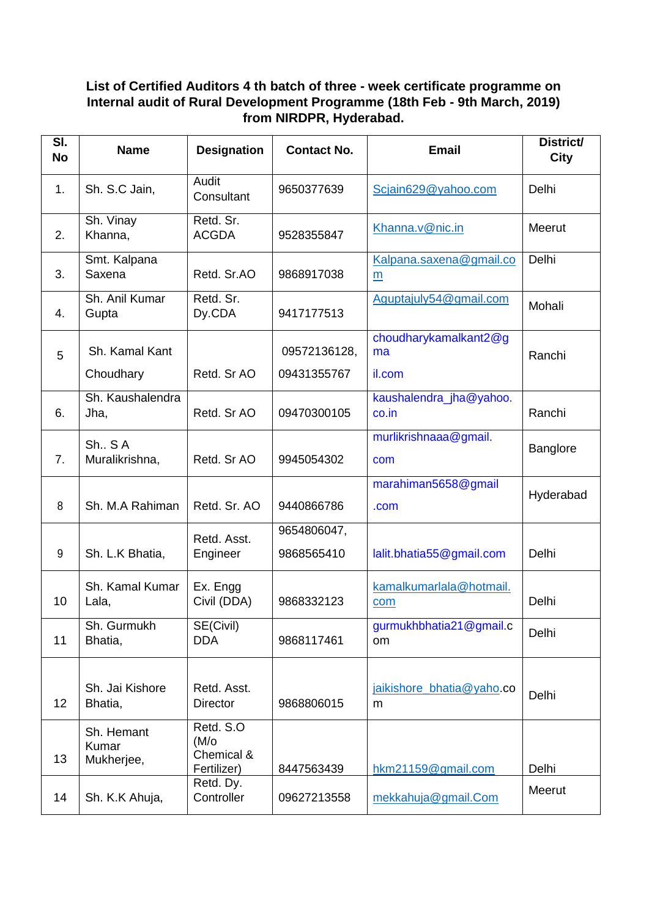## **List of Certified Auditors 4 th batch of three - week certificate programme on Internal audit of Rural Development Programme (18th Feb - 9th March, 2019) from NIRDPR, Hyderabad.**

| SI.<br><b>No</b> | <b>Name</b>                       | <b>Designation</b>                                    | <b>Contact No.</b>        | <b>Email</b>                     | District/<br>City |
|------------------|-----------------------------------|-------------------------------------------------------|---------------------------|----------------------------------|-------------------|
| 1.               | Sh. S.C Jain,                     | Audit<br>Consultant                                   | 9650377639                | Scjain629@yahoo.com              | Delhi             |
| 2.               | Sh. Vinay<br>Khanna,              | Retd. Sr.<br><b>ACGDA</b>                             | 9528355847                | Khanna.v@nic.in                  | Meerut            |
| 3.               | Smt. Kalpana<br>Saxena            | Retd. Sr.AO                                           | 9868917038                | Kalpana.saxena@gmail.co<br>m     | Delhi             |
| 4.               | Sh. Anil Kumar<br>Gupta           | Retd. Sr.<br>Dy.CDA                                   | 9417177513                | Aguptajuly54@gmail.com           | Mohali            |
| 5                | Sh. Kamal Kant                    |                                                       | 09572136128,              | choudharykamalkant2@g<br>ma      | Ranchi            |
|                  | Choudhary                         | Retd. Sr AO                                           | 09431355767               | il.com                           |                   |
| 6.               | Sh. Kaushalendra<br>Jha,          | Retd. Sr AO                                           | 09470300105               | kaushalendra_jha@yahoo.<br>co.in | Ranchi            |
| 7.               | Sh., SA<br>Muralikrishna,         | Retd. Sr AO                                           | 9945054302                | murlikrishnaaa@gmail.<br>com     | Banglore          |
| 8                | Sh. M.A Rahiman                   | Retd. Sr. AO                                          | 9440866786                | marahiman5658@gmail<br>.com      | Hyderabad         |
| 9                | Sh. L.K Bhatia,                   | Retd. Asst.<br>Engineer                               | 9654806047,<br>9868565410 | lalit.bhatia55@gmail.com         | Delhi             |
| 10               | Sh. Kamal Kumar<br>Lala,          | Ex. Engg<br>Civil (DDA)                               | 9868332123                | kamalkumarlala@hotmail.<br>com   | Delhi             |
| 11               | Sh. Gurmukh<br>Bhatia,            | SE(Civil)<br><b>DDA</b>                               | 9868117461                | gurmukhbhatia21@gmail.c<br>om    | Delhi             |
| 12               | Sh. Jai Kishore<br>Bhatia,        | Retd. Asst.<br><b>Director</b>                        | 9868806015                | jaikishore_bhatia@yaho.co<br>m   | Delhi             |
| 13               | Sh. Hemant<br>Kumar<br>Mukherjee, | Retd. S.O<br>$(M/\circ)$<br>Chemical &<br>Fertilizer) | 8447563439                | hkm21159@gmail.com               | Delhi             |
| 14               | Sh. K.K Ahuja,                    | Retd. Dy.<br>Controller                               | 09627213558               | mekkahuja@gmail.Com              | Meerut            |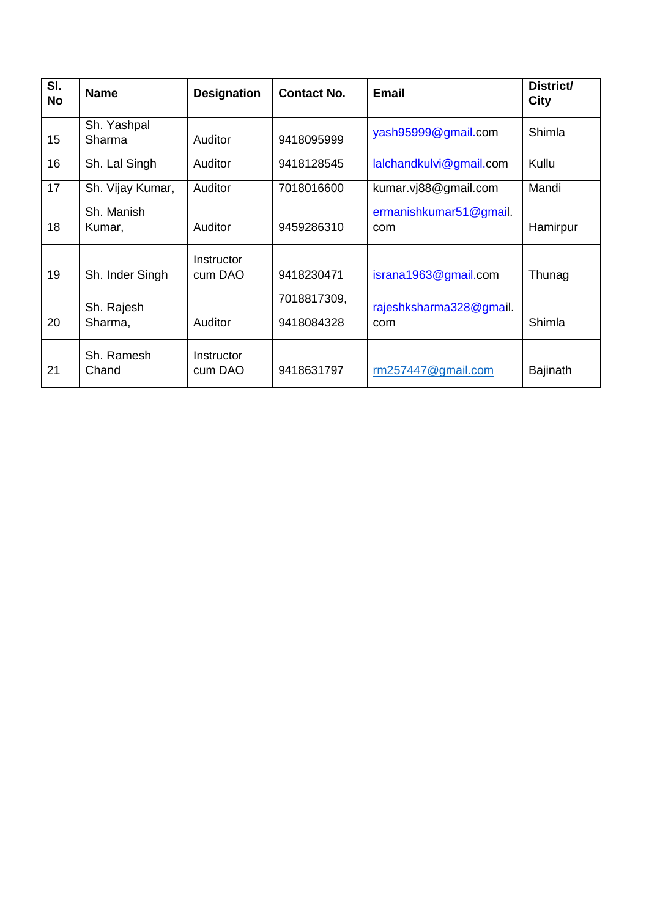| $\overline{\mathsf{SI}}$ .<br><b>No</b> | <b>Name</b>           | <b>Designation</b>           | <b>Contact No.</b>        | <b>Email</b>                   | <b>District/</b><br><b>City</b> |
|-----------------------------------------|-----------------------|------------------------------|---------------------------|--------------------------------|---------------------------------|
| 15                                      | Sh. Yashpal<br>Sharma | Auditor                      | 9418095999                | yash95999@gmail.com            | Shimla                          |
| 16                                      | Sh. Lal Singh         | Auditor                      | 9418128545                | lalchandkulvi@gmail.com        | Kullu                           |
| 17                                      | Sh. Vijay Kumar,      | Auditor                      | 7018016600                | kumar.vj88@gmail.com           | Mandi                           |
| 18                                      | Sh. Manish<br>Kumar,  | Auditor                      | 9459286310                | ermanishkumar51@gmail.<br>com  | Hamirpur                        |
| 19                                      | Sh. Inder Singh       | Instructor<br>cum DAO        | 9418230471                | israna1963@gmail.com           | Thunag                          |
| 20                                      | Sh. Rajesh<br>Sharma, | Auditor                      | 7018817309,<br>9418084328 | rajeshksharma328@gmail.<br>com | Shimla                          |
| 21                                      | Sh. Ramesh<br>Chand   | <b>Instructor</b><br>cum DAO | 9418631797                | rm257447@gmail.com             | <b>Bajinath</b>                 |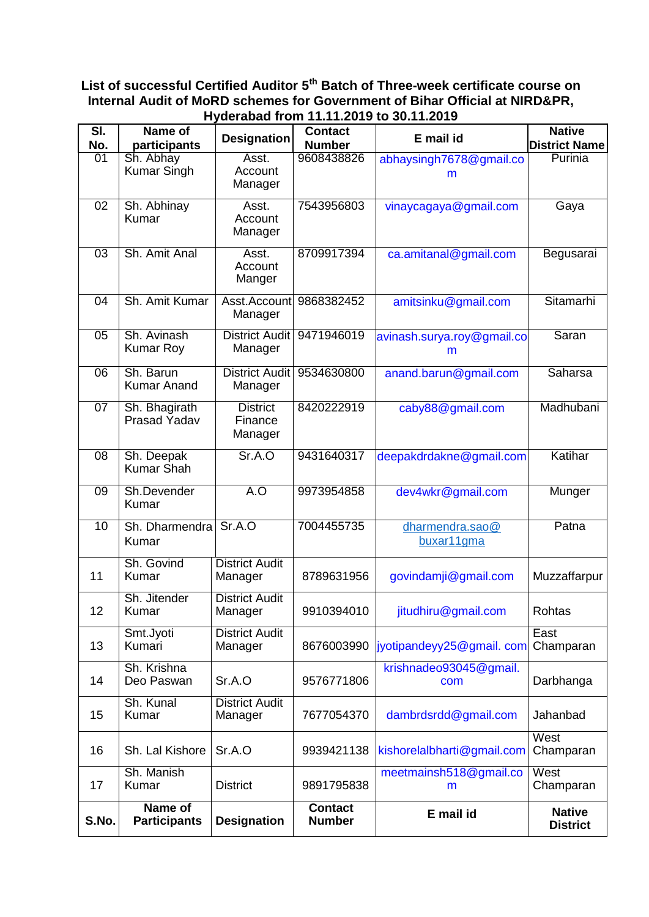#### **List of successful Certified Auditor 5th Batch of Three-week certificate course on Internal Audit of MoRD schemes for Government of Bihar Official at NIRD&PR, Hyderabad from 11.11.2019 to 30.11.2019**

| SI.<br>No.      | Name of<br>participants               | <b>Designation</b>                    | <b>Contact</b><br><b>Number</b> | E mail id                       | <b>Native</b><br><b>District Name</b> |
|-----------------|---------------------------------------|---------------------------------------|---------------------------------|---------------------------------|---------------------------------------|
| $\overline{01}$ | Sh. Abhay<br><b>Kumar Singh</b>       | Asst.<br>Account<br>Manager           | 9608438826                      | abhaysingh7678@gmail.co<br>m    | Purinia                               |
| 02              | Sh. Abhinay<br>Kumar                  | Asst.<br>Account<br>Manager           | 7543956803                      | vinaycagaya@gmail.com           | Gaya                                  |
| $\overline{03}$ | Sh. Amit Anal                         | Asst.<br>Account<br>Manger            | 8709917394                      | ca.amitanal@gmail.com           | Begusarai                             |
| 04              | Sh. Amit Kumar                        | Asst.Account<br>Manager               | 9868382452                      | amitsinku@gmail.com             | Sitamarhi                             |
| $\overline{05}$ | Sh. Avinash<br><b>Kumar Roy</b>       | <b>District Audit</b><br>Manager      | 9471946019                      | avinash.surya.roy@gmail.co<br>m | Saran                                 |
| 06              | Sh. Barun<br><b>Kumar Anand</b>       | <b>District Audit</b><br>Manager      | 9534630800                      | anand.barun@gmail.com           | <b>Saharsa</b>                        |
| 07              | Sh. Bhagirath<br>Prasad Yadav         | <b>District</b><br>Finance<br>Manager | 8420222919                      | caby88@gmail.com                | Madhubani                             |
| 08              | Sh. Deepak<br><b>Kumar Shah</b>       | Sr.A.O                                | 9431640317                      | deepakdrdakne@gmail.com         | Katihar                               |
| $\overline{09}$ | Sh.Devender<br>Kumar                  | A.O                                   | 9973954858                      | dev4wkr@gmail.com               | Munger                                |
| 10              | Sh. Dharmendra<br>Kumar               | Sr.A.O                                | 7004455735                      | dharmendra.sao@<br>buxar11gma   | Patna                                 |
| 11              | Sh. Govind<br>Kumar                   | <b>District Audit</b><br>Manager      | 8789631956                      | govindamji@gmail.com            | Muzzaffarpur                          |
| 12              | Sh. Jitender<br>Kumar                 | <b>District Audit</b><br>Manager      | 9910394010                      | jitudhiru@gmail.com             | Rohtas                                |
| 13              | Smt.Jyoti<br>Kumari                   | <b>District Audit</b><br>Manager      | 8676003990                      | jyotipandeyy25@gmail.com        | East<br>Champaran                     |
| 14              | Sh. Krishna<br>Deo Paswan             | Sr.A.O                                | 9576771806                      | krishnadeo93045@gmail.<br>com   | Darbhanga                             |
| 15              | Sh. Kunal<br>Kumar                    | <b>District Audit</b><br>Manager      | 7677054370                      | dambrdsrdd@gmail.com            | Jahanbad                              |
| 16              | Sh. Lal Kishore                       | Sr.A.O                                | 9939421138                      | kishorelalbharti@gmail.com      | West<br>Champaran                     |
| 17              | Sh. Manish<br>Kumar                   | <b>District</b>                       | 9891795838                      | meetmainsh518@gmail.co<br>m     | West<br>Champaran                     |
| S.No.           | <b>Name of</b><br><b>Participants</b> | <b>Designation</b>                    | <b>Contact</b><br><b>Number</b> | E mail id                       | <b>Native</b><br><b>District</b>      |